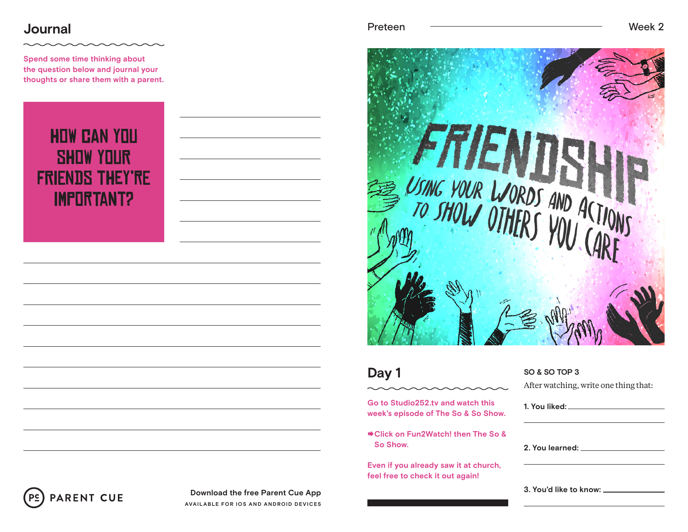### **Journal**

**Spend some time thinking about the question below and journal your thoughts or share them with a parent.**

# How can you show your friends they're important?



### **Day 1**

**Go to Studio252.tv and watch this week's episode of The So & So Show.**

**Click on Fun2Watch! then The So & So Show.**

**Even if you already saw it at church, feel free to check it out again!**

### **SO & SO TOP 3**

After watching, write one thing that:

| 2. You learned: The contract of the contract of the contract of the contract of the contract of the contract o |  |  |
|----------------------------------------------------------------------------------------------------------------|--|--|
|                                                                                                                |  |  |



**Download the free Parent Cue App AVAILABLE FOR IOS AND ANDROID DEVICES**